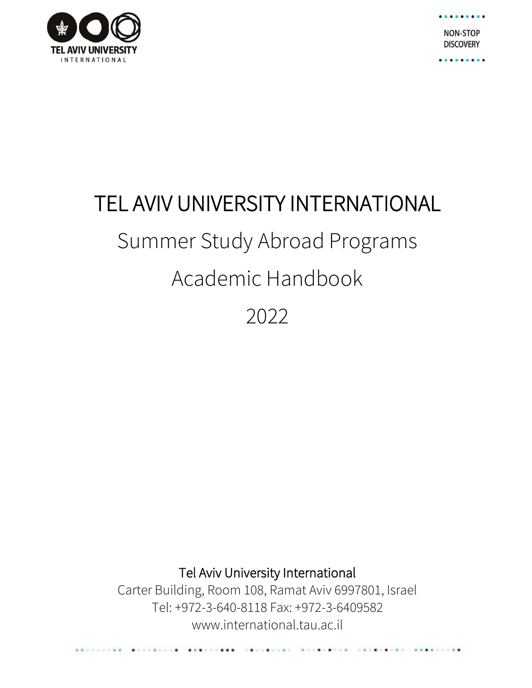

**NON-STOP DISCOVERY** 

......

# TEL AVIV UNIVERSITY INTERNATIONAL Summer Study Abroad Programs Academic Handbook

2022

Tel Aviv University International

Carter Building, Room 108, Ramat Aviv 6997801, Israel Tel: +972-3-640-8118 Fax: +972-3-6409582 www.international.tau.ac.il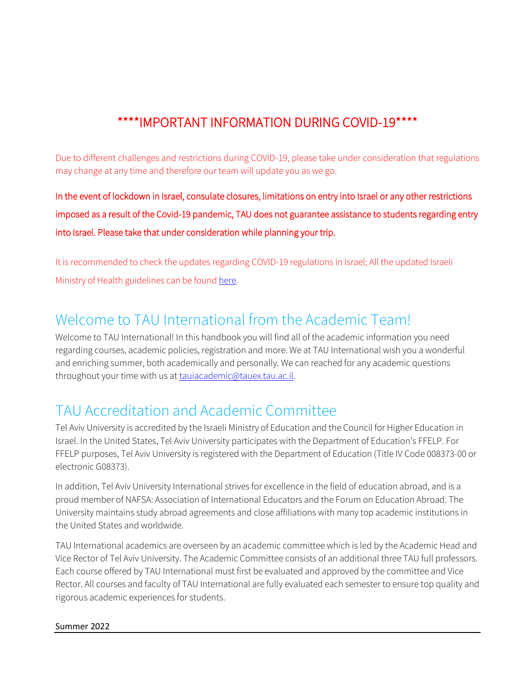### \*\*\*\*IMPORTANT INFORMATION DURING COVID-19\*\*\*\*

Due to different challenges and restrictions during COVID-19, please take under consideration that regulations may change at any time and therefore our team will update you as we go.

In the event of lockdown in Israel, consulate closures, limitations on entry into Israel or any other restrictions imposed as a result of the Covid-19 pandemic, TAU does not guarantee assistance to students regarding entry into Israel. Please take that under consideration while planning your trip.

It is recommended to check the updates regarding COVID-19 regulations in Israel; All the updated Israeli Ministry of Health guidelines can be found [here.](https://www.gov.il/en/Departments/Guides/ramzor-cites-guidelines)

### Welcome to TAU International from the Academic Team!

Welcome to TAU International! In this handbook you will find all of the academic information you need regarding courses, academic policies, registration and more. We at TAU International wish you a wonderful and enriching summer, both academically and personally. We can reached for any academic questions throughout your time with us a[t tauiacademic@tauex.tau.ac.il.](mailto:tauiacademic@tauex.tau.ac.il)

### TAU Accreditation and Academic Committee

Tel Aviv University is accredited by the Israeli Ministry of Education and the Council for Higher Education in Israel. In the United States, Tel Aviv University participates with the Department of Education's FFELP. For FFELP purposes, Tel Aviv University is registered with the Department of Education (Title IV Code 008373-00 or electronic G08373).

In addition, Tel Aviv University International strives for excellence in the field of education abroad, and is a proud member of NAFSA: Association of International Educators and the Forum on Education Abroad. The University maintains study abroad agreements and close affiliations with many top academic institutions in the United States and worldwide.

TAU International academics are overseen by an academic committee which is led by the Academic Head and Vice Rector of Tel Aviv University. The Academic Committee consists of an additional three TAU full professors. Each course offered by TAU International must first be evaluated and approved by the committee and Vice Rector. All courses and faculty of TAU International are fully evaluated each semester to ensure top quality and rigorous academic experiences for students.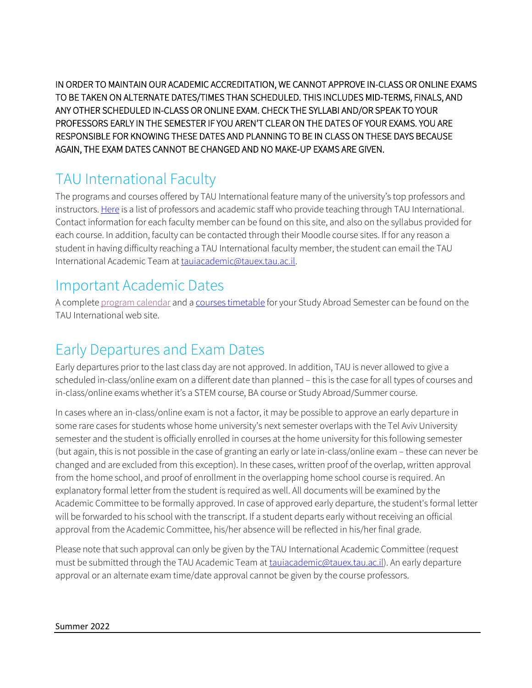IN ORDER TO MAINTAIN OUR ACADEMIC ACCREDITATION, WE CANNOT APPROVE IN-CLASS OR ONLINE EXAMS TO BE TAKEN ON ALTERNATE DATES/TIMES THAN SCHEDULED. THIS INCLUDES MID-TERMS, FINALS, AND ANY OTHER SCHEDULED IN-CLASS OR ONLINE EXAM. CHECK THE SYLLABI AND/OR SPEAK TO YOUR PROFESSORS EARLY IN THE SEMESTER IF YOU AREN'T CLEAR ON THE DATES OF YOUR EXAMS. YOU ARE RESPONSIBLE FOR KNOWING THESE DATES AND PLANNING TO BE IN CLASS ON THESE DAYS BECAUSE AGAIN, THE EXAM DATES CANNOT BE CHANGED AND NO MAKE-UP EXAMS ARE GIVEN.

# TAU International Faculty

The programs and courses offered by TAU International feature many of the university's top professors and instructors[. Here](https://international.tau.ac.il/faculty_academic_staff) is a list of professors and academic staff who provide teaching through TAU International. Contact information for each faculty member can be found on this site, and also on the syllabus provided for each course. In addition, faculty can be contacted through their Moodle course sites. If for any reason a student in having difficulty reaching a TAU International faculty member, the student can email the TAU International Academic Team a[t tauiacademic@tauex.tau.ac.il.](mailto:tauiacademic@tauex.tau.ac.il)

### Important Academic Dates

A complet[e program calendar](https://international.tau.ac.il/Calendar_for_Summer_Programs) and [a courses timetable](https://international.tau.ac.il/Summer_Courses_Timetable) for your Study Abroad Semester can be found on the TAU International web site.

### Early Departures and Exam Dates

Early departures prior to the last class day are not approved. In addition, TAU is never allowed to give a scheduled in-class/online exam on a different date than planned – this is the case for all types of courses and in-class/online exams whether it's a STEM course, BA course or Study Abroad/Summer course.

In cases where an in-class/online exam is not a factor, it may be possible to approve an early departure in some rare cases for students whose home university's next semester overlaps with the Tel Aviv University semester and the student is officially enrolled in courses at the home university for this following semester (but again, this is not possible in the case of granting an early or late in-class/online exam – these can never be changed and are excluded from this exception). In these cases, written proof of the overlap, written approval from the home school, and proof of enrollment in the overlapping home school course is required. An explanatory formal letter from the student is required as well. All documents will be examined by the Academic Committee to be formally approved. In case of approved early departure, the student's formal letter will be forwarded to his school with the transcript. If a student departs early without receiving an official approval from the Academic Committee, his/her absence will be reflected in his/her final grade.

Please note that such approval can only be given by the TAU International Academic Committee (request must be submitted through the TAU Academic Team at [tauiacademic@tauex.tau.ac.il\)](mailto:tauiacademic@tauex.tau.ac.il). An early departure approval or an alternate exam time/date approval cannot be given by the course professors.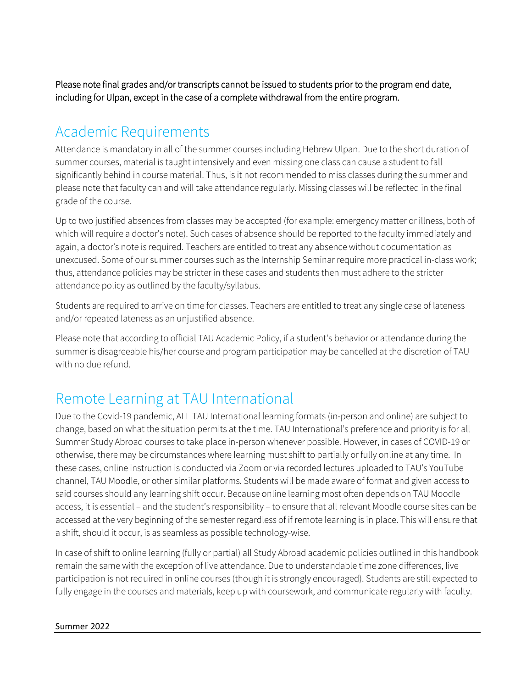Please note final grades and/or transcripts cannot be issued to students prior to the program end date, including for Ulpan, except in the case of a complete withdrawal from the entire program.

### Academic Requirements

Attendance is mandatory in all of the summer courses including Hebrew Ulpan. Due to the short duration of summer courses, material is taught intensively and even missing one class can cause a student to fall significantly behind in course material. Thus, is it not recommended to miss classes during the summer and please note that faculty can and will take attendance regularly. Missing classes will be reflected in the final grade of the course.

Up to two justified absences from classes may be accepted (for example: emergency matter or illness, both of which will require a doctor's note). Such cases of absence should be reported to the faculty immediately and again, a doctor's note is required. Teachers are entitled to treat any absence without documentation as unexcused. Some of our summer courses such as the Internship Seminar require more practical in-class work; thus, attendance policies may be stricter in these cases and students then must adhere to the stricter attendance policy as outlined by the faculty/syllabus.

Students are required to arrive on time for classes. Teachers are entitled to treat any single case of lateness and/or repeated lateness as an unjustified absence.

Please note that according to official TAU Academic Policy, if a student's behavior or attendance during the summer is disagreeable his/her course and program participation may be cancelled at the discretion of TAU with no due refund.

### Remote Learning at TAU International

Due to the Covid-19 pandemic, ALL TAU International learning formats (in-person and online) are subject to change, based on what the situation permits at the time. TAU International's preference and priority is for all Summer Study Abroad courses to take place in-person whenever possible. However, in cases of COVID-19 or otherwise, there may be circumstances where learning must shift to partially or fully online at any time. In these cases, online instruction is conducted via Zoom or via recorded lectures uploaded to TAU's YouTube channel, TAU Moodle, or other similar platforms. Students will be made aware of format and given access to said courses should any learning shift occur. Because online learning most often depends on TAU Moodle access, it is essential – and the student's responsibility – to ensure that all relevant Moodle course sites can be accessed at the very beginning of the semester regardless of if remote learning is in place. This will ensure that a shift, should it occur, is as seamless as possible technology-wise.

In case of shift to online learning (fully or partial) all Study Abroad academic policies outlined in this handbook remain the same with the exception of live attendance. Due to understandable time zone differences, live participation is not required in online courses (though it is strongly encouraged). Students are still expected to fully engage in the courses and materials, keep up with coursework, and communicate regularly with faculty.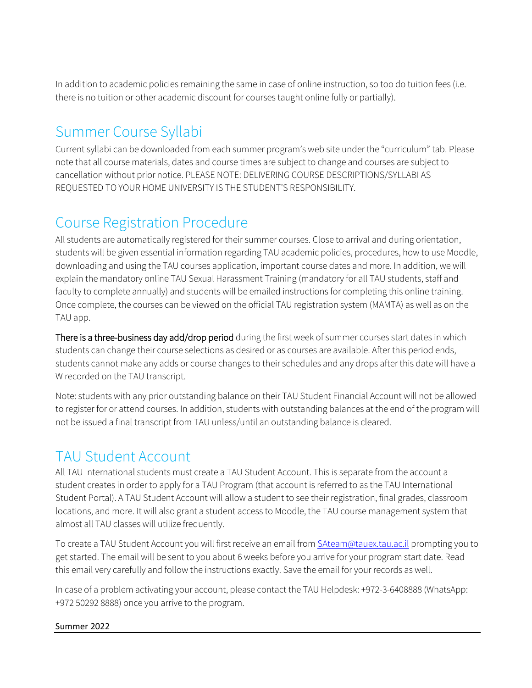In addition to academic policies remaining the same in case of online instruction, so too do tuition fees (i.e. there is no tuition or other academic discount for courses taught online fully or partially).

# Summer Course Syllabi

Current syllabi can be downloaded from each summer program's web site under the "curriculum" tab. Please note that all course materials, dates and course times are subject to change and courses are subject to cancellation without prior notice. PLEASE NOTE: DELIVERING COURSE DESCRIPTIONS/SYLLABI AS REQUESTED TO YOUR HOME UNIVERSITY IS THE STUDENT'S RESPONSIBILITY.

### Course Registration Procedure

All students are automatically registered for their summer courses. Close to arrival and during orientation, students will be given essential information regarding TAU academic policies, procedures, how to use Moodle, downloading and using the TAU courses application, important course dates and more. In addition, we will explain the mandatory online TAU Sexual Harassment Training (mandatory for all TAU students, staff and faculty to complete annually) and students will be emailed instructions for completing this online training. Once complete, the courses can be viewed on the official TAU registration system (MAMTA) as well as on the TAU app.

There is a three-business day add/drop period during the first week of summer courses start dates in which students can change their course selections as desired or as courses are available. After this period ends, students cannot make any adds or course changes to their schedules and any drops after this date will have a W recorded on the TAU transcript.

Note: students with any prior outstanding balance on their TAU Student Financial Account will not be allowed to register for or attend courses. In addition, students with outstanding balances at the end of the program will not be issued a final transcript from TAU unless/until an outstanding balance is cleared.

### TAU Student Account

All TAU International students must create a TAU Student Account. This is separate from the account a student creates in order to apply for a TAU Program (that account is referred to as the TAU International Student Portal). A TAU Student Account will allow a student to see their registration, final grades, classroom locations, and more. It will also grant a student access to Moodle, the TAU course management system that almost all TAU classes will utilize frequently.

To create a TAU Student Account you will first receive an email from **SAteam@tauex.tau.ac.il** prompting you to get started. The email will be sent to you about 6 weeks before you arrive for your program start date. Read this email very carefully and follow the instructions exactly. Save the email for your records as well.

In case of a problem activating your account, please contact the TAU Helpdesk: [+972-3-6408888](tel:%2B972-3-6408888) (WhatsApp: +972 50292 8888) once you arrive to the program.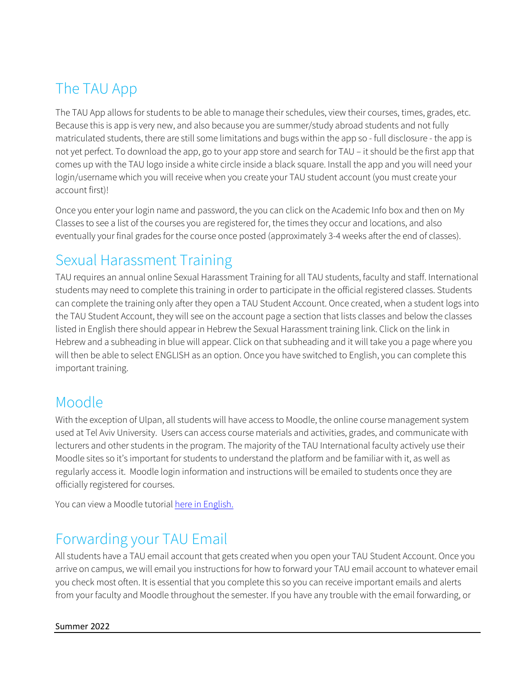# The TAU App

The TAU App allows for students to be able to manage their schedules, view their courses, times, grades, etc. Because this is app is very new, and also because you are summer/study abroad students and not fully matriculated students, there are still some limitations and bugs within the app so - full disclosure - the app is not yet perfect. To download the app, go to your app store and search for TAU – it should be the first app that comes up with the TAU logo inside a white circle inside a black square. Install the app and you will need your login/username which you will receive when you create your TAU student account (you must create your account first)!

Once you enter your login name and password, the you can click on the Academic Info box and then on My Classes to see a list of the courses you are registered for, the times they occur and locations, and also eventually your final grades for the course once posted (approximately 3-4 weeks after the end of classes).

### Sexual Harassment Training

TAU requires an annual online Sexual Harassment Training for all TAU students, faculty and staff. International students may need to complete this training in order to participate in the official registered classes. Students can complete the training only after they open a TAU Student Account. Once created, when a student logs into the TAU Student Account, they will see on the account page a section that lists classes and below the classes listed in English there should appear in Hebrew the Sexual Harassment training link. Click on the link in Hebrew and a subheading in blue will appear. Click on that subheading and it will take you a page where you will then be able to select ENGLISH as an option. Once you have switched to English, you can complete this important training.

### Moodle

With the exception of Ulpan, all students will have access to Moodle, the online course management system used at Tel Aviv University. Users can access course materials and activities, grades, and communicate with lecturers and other students in the program. The majority of the TAU International faculty actively use their Moodle sites so it's important for students to understand the platform and be familiar with it, as well as regularly access it. Moodle login information and instructions will be emailed to students once they are officially registered for courses.

You can view a Moodle tutoria[l here](http://moodle.tau.ac.il/?lang=en) in English.

### Forwarding your TAU Email

All students have a TAU email account that gets created when you open your TAU Student Account. Once you arrive on campus, we will email you instructions for how to forward your TAU email account to whatever email you check most often. It is essential that you complete this so you can receive important emails and alerts from your faculty and Moodle throughout the semester. If you have any trouble with the email forwarding, or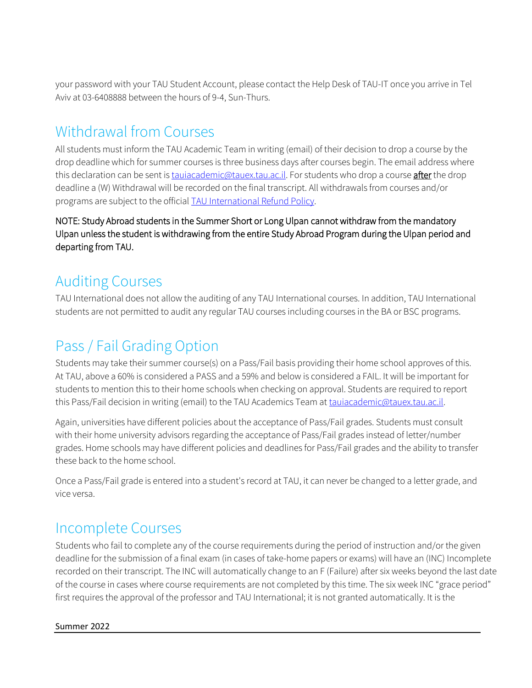your password with your TAU Student Account, please contact the Help Desk of TAU-IT once you arrive in Tel Aviv at [03-6408888](tel:%2B972-3-6408888) between the hours of 9-4, Sun-Thurs.

### Withdrawal from Courses

All students must inform the TAU Academic Team in writing (email) of their decision to drop a course by the drop deadline which for summer courses is three business days after courses begin. The email address where this declaration can be sent i[s tauiacademic@tauex.tau.ac.il.](mailto:tauiacademic@tauex.tau.ac.il) For students who drop a course after the drop deadline a (W) Withdrawal will be recorded on the final transcript. All withdrawals from courses and/or programs are subject to the official [TAU International Refund Policy.](https://international.tau.ac.il/refund_policy)

NOTE: Study Abroad students in the Summer Short or Long Ulpan cannot withdraw from the mandatory Ulpan unless the student is withdrawing from the entire Study Abroad Program during the Ulpan period and departing from TAU.

### Auditing Courses

TAU International does not allow the auditing of any TAU International courses. In addition, TAU International students are not permitted to audit any regular TAU courses including courses in the BA or BSC programs.

### Pass / Fail Grading Option

Students may take their summer course(s) on a Pass/Fail basis providing their home school approves of this. At TAU, above a 60% is considered a PASS and a 59% and below is considered a FAIL. It will be important for students to mention this to their home schools when checking on approval. Students are required to report this Pass/Fail decision in writing (email) to the TAU Academics Team at [tauiacademic@tauex.tau.ac.il.](mailto:tauiacademic@tauex.tau.ac.il)

Again, universities have different policies about the acceptance of Pass/Fail grades. Students must consult with their home university advisors regarding the acceptance of Pass/Fail grades instead of letter/number grades. Home schools may have different policies and deadlines for Pass/Fail grades and the ability to transfer these back to the home school.

Once a Pass/Fail grade is entered into a student's record at TAU, it can never be changed to a letter grade, and vice versa.

### Incomplete Courses

Students who fail to complete any of the course requirements during the period of instruction and/or the given deadline for the submission of a final exam (in cases of take-home papers or exams) will have an (INC) Incomplete recorded on their transcript. The INC will automatically change to an F (Failure) after six weeks beyond the last date of the course in cases where course requirements are not completed by this time. The six week INC "grace period" first requires the approval of the professor and TAU International; it is not granted automatically. It is the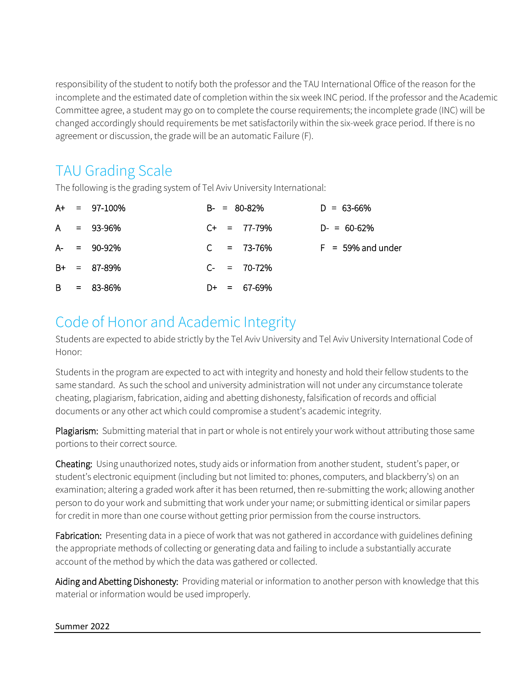responsibility of the student to notify both the professor and the TAU International Office of the reason for the incomplete and the estimated date of completion within the six week INC period. If the professor and the Academic Committee agree, a student may go on to complete the course requirements; the incomplete grade (INC) will be changed accordingly should requirements be met satisfactorily within the six-week grace period. If there is no agreement or discussion, the grade will be an automatic Failure (F).

### TAU Grading Scale

The following is the grading system of Tel Aviv University International:

|  | $A+ = 97-100\%$ |  | $B - = 80 - 82\%$ | $D = 63 - 66%$      |
|--|-----------------|--|-------------------|---------------------|
|  | $A = 93-96%$    |  | $C_{+}$ = 77-79%  | $D = 60-62%$        |
|  | $A - = 90-92\%$ |  | $C = 73-76%$      | $F = 59%$ and under |
|  | $B+ = 87-89%$   |  | $C_{-}$ = 70-72%  |                     |
|  | $B = 83 - 86%$  |  | $D+ = 67-69%$     |                     |

### Code of Honor and Academic Integrity

Students are expected to abide strictly by the Tel Aviv University and Tel Aviv University International Code of Honor:

Students in the program are expected to act with integrity and honesty and hold their fellow students to the same standard. As such the school and university administration will not under any circumstance tolerate cheating, plagiarism, fabrication, aiding and abetting dishonesty, falsification of records and official documents or any other act which could compromise a student's academic integrity.

Plagiarism: Submitting material that in part or whole is not entirely your work without attributing those same portions to their correct source.

Cheating: Using unauthorized notes, study aids or information from another student, student's paper, or student's electronic equipment (including but not limited to: phones, computers, and blackberry's) on an examination; altering a graded work after it has been returned, then re-submitting the work; allowing another person to do your work and submitting that work under your name; or submitting identical or similar papers for credit in more than one course without getting prior permission from the course instructors.

Fabrication: Presenting data in a piece of work that was not gathered in accordance with guidelines defining the appropriate methods of collecting or generating data and failing to include a substantially accurate account of the method by which the data was gathered or collected.

Aiding and Abetting Dishonesty: Providing material or information to another person with knowledge that this material or information would be used improperly.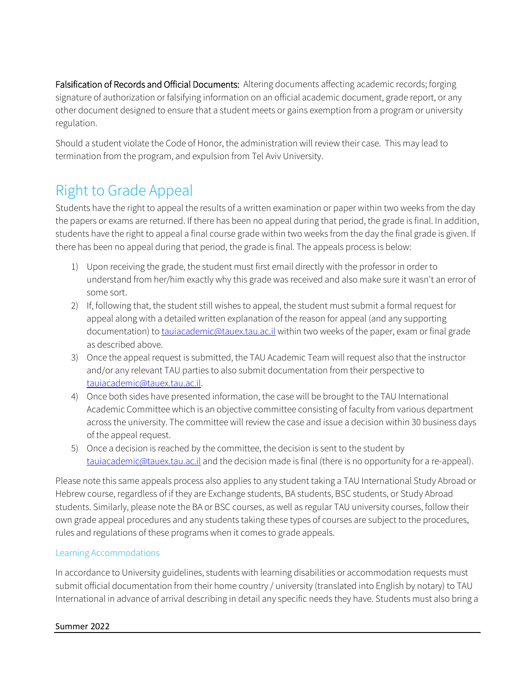Falsification of Records and Official Documents: Altering documents affecting academic records; forging signature of authorization or falsifying information on an official academic document, grade report, or any other document designed to ensure that a student meets or gains exemption from a program or university regulation.

Should a student violate the Code of Honor, the administration will review their case. This may lead to termination from the program, and expulsion from Tel Aviv University.

## Right to Grade Appeal

Students have the right to appeal the results of a written examination or paper within two weeks from the day the papers or exams are returned. If there has been no appeal during that period, the grade is final. In addition, students have the right to appeal a final course grade within two weeks from the day the final grade is given. If there has been no appeal during that period, the grade is final. The appeals process is below:

- 1) Upon receiving the grade, the student must first email directly with the professor in order to understand from her/him exactly why this grade was received and also make sure it wasn't an error of some sort.
- 2) If, following that, the student still wishes to appeal, the student must submit a formal request for appeal along with a detailed written explanation of the reason for appeal (and any supporting documentation) to *[tauiacademic@tauex.tau.ac.il](mailto:tauiacademic@tauex.tau.ac.il)* within two weeks of the paper, exam or final grade as described above.
- 3) Once the appeal request is submitted, the TAU Academic Team will request also that the instructor and/or any relevant TAU parties to also submit documentation from their perspective to [tauiacademic@tauex.tau.ac.il.](mailto:tauiacademic@tauex.tau.ac.il)
- 4) Once both sides have presented information, the case will be brought to the TAU International Academic Committee which is an objective committee consisting of faculty from various department across the university. The committee will review the case and issue a decision within 30 business days of the appeal request.
- 5) Once a decision is reached by the committee, the decision is sent to the student by [tauiacademic@tauex.tau.ac.il](mailto:tauiacademic@tauex.tau.ac.il) and the decision made is final (there is no opportunity for a re-appeal).

Please note this same appeals process also applies to any student taking a TAU International Study Abroad or Hebrew course, regardless of if they are Exchange students, BA students, BSC students, or Study Abroad students. Similarly, please note the BA or BSC courses, as well as regular TAU university courses, follow their own grade appeal procedures and any students taking these types of courses are subject to the procedures, rules and regulations of these programs when it comes to grade appeals.

#### Learning Accommodations

In accordance to University guidelines, students with learning disabilities or accommodation requests must submit official documentation from their home country / university (translated into English by notary) to TAU International in advance of arrival describing in detail any specific needs they have. Students must also bring a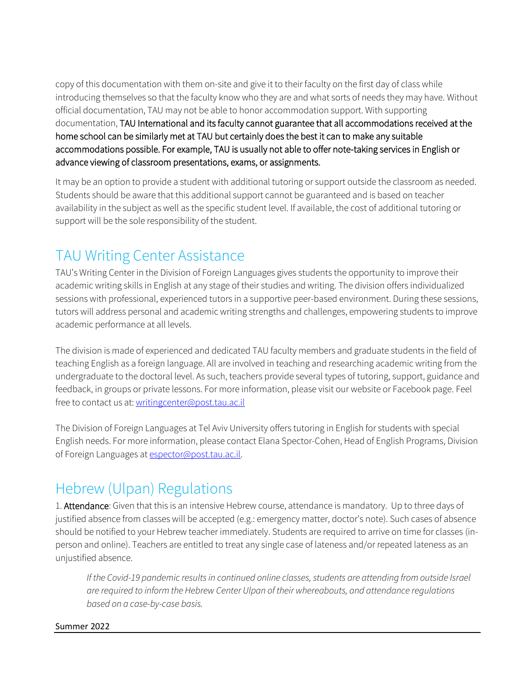copy of this documentation with them on-site and give it to their faculty on the first day of class while introducing themselves so that the faculty know who they are and what sorts of needs they may have. Without official documentation, TAU may not be able to honor accommodation support. With supporting documentation, TAU International and its faculty cannot guarantee that all accommodations received at the home school can be similarly met at TAU but certainly does the best it can to make any suitable accommodations possible. For example, TAU is usually not able to offer note-taking services in English or advance viewing of classroom presentations, exams, or assignments.

It may be an option to provide a student with additional tutoring or support outside the classroom as needed. Students should be aware that this additional support cannot be guaranteed and is based on teacher availability in the subject as well as the specific student level. If available, the cost of additional tutoring or support will be the sole responsibility of the student.

# TAU Writing Center Assistance

TAU's Writing Center in the Division of Foreign Languages gives students the opportunity to improve their academic writing skills in English at any stage of their studies and writing. The division offers individualized sessions with professional, experienced tutors in a supportive peer-based environment. During these sessions, tutors will address personal and academic writing strengths and challenges, empowering students to improve academic performance at all levels.

The division is made of experienced and dedicated TAU faculty members and graduate students in the field of teaching English as a foreign language. All are involved in teaching and researching academic writing from the undergraduate to the doctoral level. As such, teachers provide several types of tutoring, support, guidance and feedback, in groups or private lessons. For more information, please visit our website or Facebook page. Feel free to contact us at[: writingcenter@post.tau.ac.il](mailto:writingcenter@post.tau.ac.il)

The Division of Foreign Languages at Tel Aviv University offers tutoring in English for students with special English needs. For more information, please contact Elana Spector-Cohen, Head of English Programs, Division of Foreign Languages at [espector@post.tau.ac.il.](about:blank)

### Hebrew (Ulpan) Regulations

1. Attendance: Given that this is an intensive Hebrew course, attendance is mandatory. Up to three days of justified absence from classes will be accepted (e.g.: emergency matter, doctor's note). Such cases of absence should be notified to your Hebrew teacher immediately. Students are required to arrive on time for classes (inperson and online). Teachers are entitled to treat any single case of lateness and/or repeated lateness as an unjustified absence.

*If the Covid-19 pandemic results in continued online classes, students are attending from outside Israel are required to inform the Hebrew Center Ulpan of their whereabouts, and attendance regulations based on a case-by-case basis.*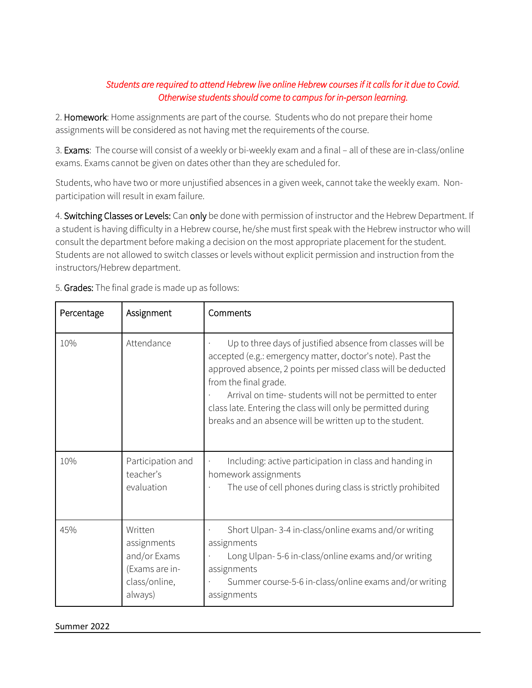#### *Students are required to attend Hebrew live online Hebrew courses if it calls for it due to Covid. Otherwise students should come to campus for in-person learning.*

2. Homework: Home assignments are part of the course. Students who do not prepare their home assignments will be considered as not having met the requirements of the course.

3. Exams: The course will consist of a weekly or bi-weekly exam and a final – all of these are in-class/online exams. Exams cannot be given on dates other than they are scheduled for.

Students, who have two or more unjustified absences in a given week, cannot take the weekly exam. Nonparticipation will result in exam failure.

4. Switching Classes or Levels: Can only be done with permission of instructor and the Hebrew Department. If a student is having difficulty in a Hebrew course, he/she must first speak with the Hebrew instructor who will consult the department before making a decision on the most appropriate placement for the student. Students are not allowed to switch classes or levels without explicit permission and instruction from the instructors/Hebrew department.

| Percentage | Assignment                                                                           | Comments                                                                                                                                                                                                                                                                                                                                                                                                 |
|------------|--------------------------------------------------------------------------------------|----------------------------------------------------------------------------------------------------------------------------------------------------------------------------------------------------------------------------------------------------------------------------------------------------------------------------------------------------------------------------------------------------------|
| 10%        | Attendance                                                                           | Up to three days of justified absence from classes will be<br>accepted (e.g.: emergency matter, doctor's note). Past the<br>approved absence, 2 points per missed class will be deducted<br>from the final grade.<br>Arrival on time-students will not be permitted to enter<br>class late. Entering the class will only be permitted during<br>breaks and an absence will be written up to the student. |
| 10%        | Participation and<br>teacher's<br>evaluation                                         | Including: active participation in class and handing in<br>homework assignments<br>The use of cell phones during class is strictly prohibited                                                                                                                                                                                                                                                            |
| 45%        | Written<br>assignments<br>and/or Exams<br>(Exams are in-<br>class/online,<br>always) | Short Ulpan-3-4 in-class/online exams and/or writing<br>assignments<br>Long Ulpan-5-6 in-class/online exams and/or writing<br>assignments<br>Summer course-5-6 in-class/online exams and/or writing<br>assignments                                                                                                                                                                                       |

5. Grades: The final grade is made up as follows: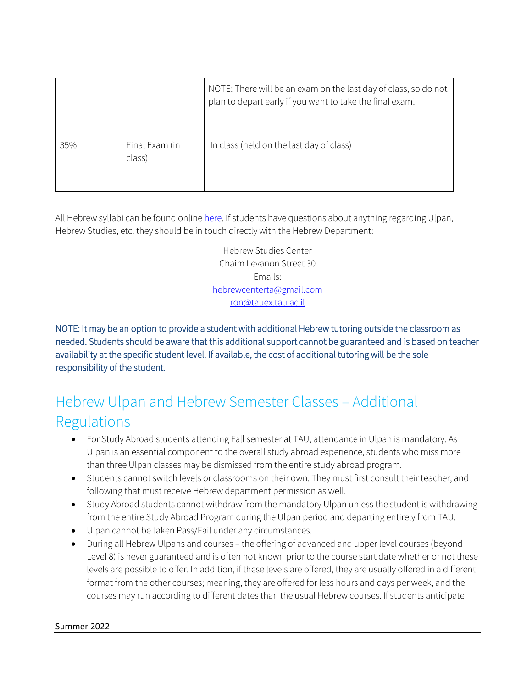|     |                          | NOTE: There will be an exam on the last day of class, so do not<br>plan to depart early if you want to take the final exam! |
|-----|--------------------------|-----------------------------------------------------------------------------------------------------------------------------|
| 35% | Final Exam (in<br>class) | In class (held on the last day of class)                                                                                    |

All Hebrew syllabi can be found onlin[e here.](https://international.tau.ac.il/Intensive_Hebrew_Ulpan/?id=term-0) If students have questions about anything regarding Ulpan, Hebrew Studies, etc. they should be in touch directly with the Hebrew Department:

> Hebrew Studies Center Chaim Levanon Street 30 Emails: [hebrewcenterta@gmail.com](mailto:hebrewcenterta@gmail.com) [ron@tauex.tau.ac.il](mailto:ron@tauex.tau.ac.il)

NOTE: It may be an option to provide a student with additional Hebrew tutoring outside the classroom as needed. Students should be aware that this additional support cannot be guaranteed and is based on teacher availability at the specific student level. If available, the cost of additional tutoring will be the sole responsibility of the student.

## Hebrew Ulpan and Hebrew Semester Classes – Additional Regulations

- For Study Abroad students attending Fall semester at TAU, attendance in Ulpan is mandatory. As Ulpan is an essential component to the overall study abroad experience, students who miss more than three Ulpan classes may be dismissed from the entire study abroad program.
- Students cannot switch levels or classrooms on their own. They must first consult their teacher, and following that must receive Hebrew department permission as well.
- Study Abroad students cannot withdraw from the mandatory Ulpan unless the student is withdrawing from the entire Study Abroad Program during the Ulpan period and departing entirely from TAU.
- Ulpan cannot be taken Pass/Fail under any circumstances.
- During all Hebrew Ulpans and courses the offering of advanced and upper level courses (beyond Level 8) is never guaranteed and is often not known prior to the course start date whether or not these levels are possible to offer. In addition, if these levels are offered, they are usually offered in a different format from the other courses; meaning, they are offered for less hours and days per week, and the courses may run according to different dates than the usual Hebrew courses. If students anticipate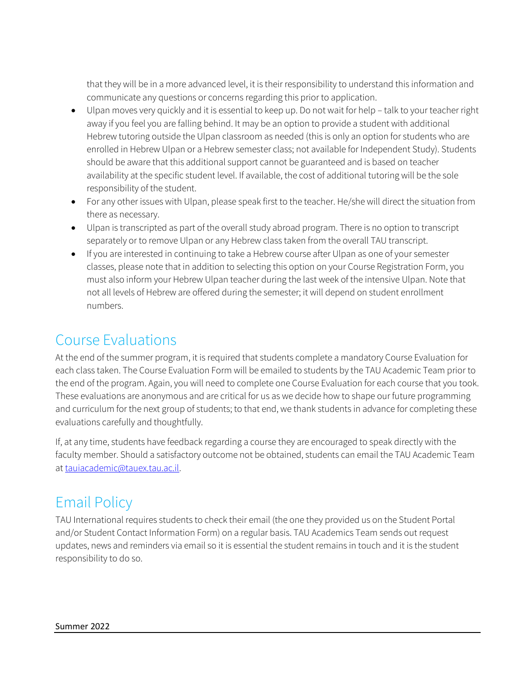that they will be in a more advanced level, it is their responsibility to understand this information and communicate any questions or concerns regarding this prior to application.

- Ulpan moves very quickly and it is essential to keep up. Do not wait for help talk to your teacher right away if you feel you are falling behind. It may be an option to provide a student with additional Hebrew tutoring outside the Ulpan classroom as needed (this is only an option for students who are enrolled in Hebrew Ulpan or a Hebrew semester class; not available for Independent Study). Students should be aware that this additional support cannot be guaranteed and is based on teacher availability at the specific student level. If available, the cost of additional tutoring will be the sole responsibility of the student.
- For any other issues with Ulpan, please speak first to the teacher. He/she will direct the situation from there as necessary.
- Ulpan is transcripted as part of the overall study abroad program. There is no option to transcript separately or to remove Ulpan or any Hebrew class taken from the overall TAU transcript.
- If you are interested in continuing to take a Hebrew course after Ulpan as one of your semester classes, please note that in addition to selecting this option on your Course Registration Form, you must also inform your Hebrew Ulpan teacher during the last week of the intensive Ulpan. Note that not all levels of Hebrew are offered during the semester; it will depend on student enrollment numbers.

### Course Evaluations

At the end of the summer program, it is required that students complete a mandatory Course Evaluation for each class taken. The Course Evaluation Form will be emailed to students by the TAU Academic Team prior to the end of the program. Again, you will need to complete one Course Evaluation for each course that you took. These evaluations are anonymous and are critical for us as we decide how to shape our future programming and curriculum for the next group of students; to that end, we thank students in advance for completing these evaluations carefully and thoughtfully.

If, at any time, students have feedback regarding a course they are encouraged to speak directly with the faculty member. Should a satisfactory outcome not be obtained, students can email the TAU Academic Team at [tauiacademic@tauex.tau.ac.il.](mailto:tauiacademic@tauex.tau.ac.il)

# Email Policy

TAU International requires students to check their email (the one they provided us on the Student Portal and/or Student Contact Information Form) on a regular basis. TAU Academics Team sends out request updates, news and reminders via email so it is essential the student remains in touch and it is the student responsibility to do so.